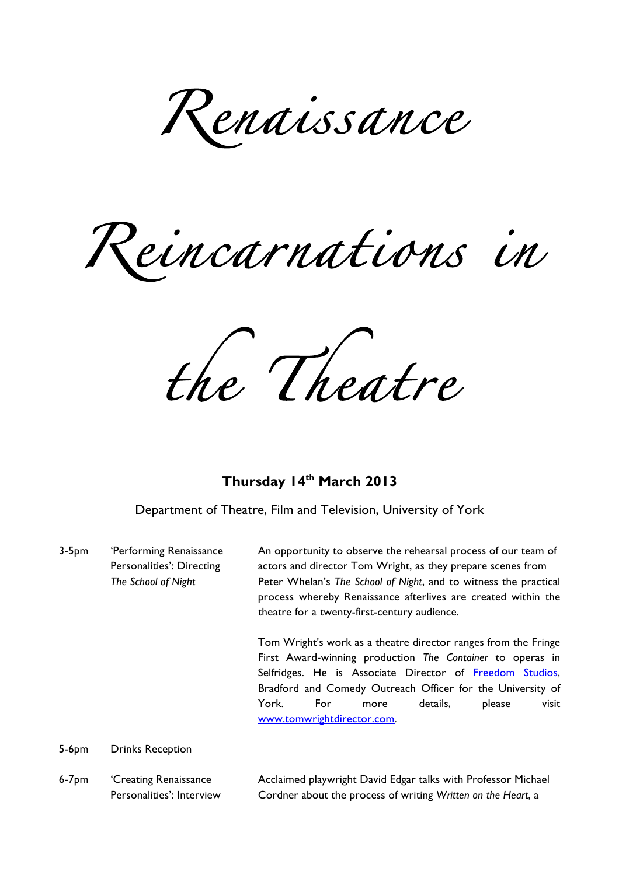*Renaissance* 

*Reincarnations in* 

*the Theatre* 

## **Thursday 14th March 2013**

Department of Theatre, Film and Television, University of York

3-5pm 'Performing Renaissance An opportunity to observe the rehearsal process of our team of Personalities': Directing actors and director Tom Wright, as they prepare scenes from *The School of Night* Peter Whelan's *The School of Night*, and to witness the practical process whereby Renaissance afterlives are created within the theatre for a twenty-first-century audience. Tom Wright's work as a theatre director ranges from the Fringe First Award-winning production *The Container* to operas in Selfridges. He is Associate Director of Freedom Studios, Bradford and Comedy Outreach Officer for the University of York. For more details, please visit www.tomwrightdirector.com.

5-6pm Drinks Reception

6-7pm 
'Creating Renaissance **Acclaimed playwright David Edgar talks with Professor Michael** Personalities': Interview Cordner about the process of writing *Written on the Heart*, a